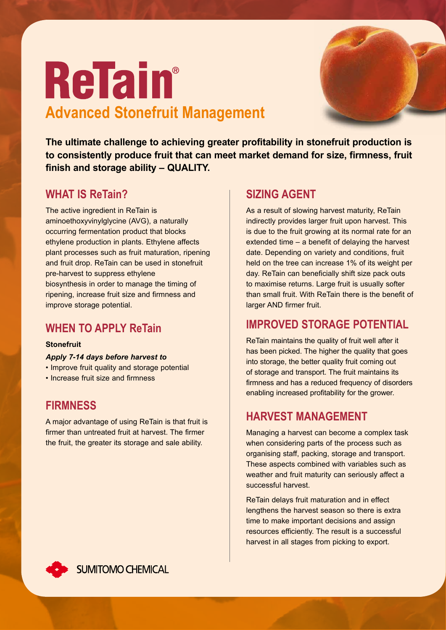

# **Refain**® **Advanced Stonefruit Management**

**The ultimate challenge to achieving greater profitability in stonefruit production is to consistently produce fruit that can meet market demand for size, firmness, fruit finish and storage ability – QUALITY.**

## **What is ReTain?**

The active ingredient in ReTain is aminoethoxyvinylglycine (AVG), a naturally occurring fermentation product that blocks ethylene production in plants. Ethylene affects plant processes such as fruit maturation, ripening and fruit drop. ReTain can be used in stonefruit pre-harvest to suppress ethylene biosynthesis in order to manage the timing of ripening, increase fruit size and firmness and improve storage potential.

# **WHEN TO APPLY ReTain**

#### **Stonefruit**

#### *Apply 7-14 days before harvest to*

- Improve fruit quality and storage potential
- Increase fruit size and firmness

### **Firmness**

A major advantage of using ReTain is that fruit is firmer than untreated fruit at harvest. The firmer the fruit, the greater its storage and sale ability.

#### **SIZING AGENT**

As a result of slowing harvest maturity, ReTain indirectly provides larger fruit upon harvest. This is due to the fruit growing at its normal rate for an extended time – a benefit of delaying the harvest date. Depending on variety and conditions, fruit held on the tree can increase 1% of its weight per day. ReTain can beneficially shift size pack outs to maximise returns. Large fruit is usually softer than small fruit. With ReTain there is the benefit of larger AND firmer fruit.

# **Improved storage potential**

ReTain maintains the quality of fruit well after it has been picked. The higher the quality that goes into storage, the better quality fruit coming out of storage and transport. The fruit maintains its firmness and has a reduced frequency of disorders enabling increased profitability for the grower.

# **Harvest Management**

Managing a harvest can become a complex task when considering parts of the process such as organising staff, packing, storage and transport. These aspects combined with variables such as weather and fruit maturity can seriously affect a successful harvest.

ReTain delays fruit maturation and in effect lengthens the harvest season so there is extra time to make important decisions and assign resources efficiently. The result is a successful harvest in all stages from picking to export.